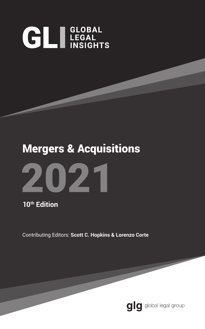# **GLI LEGAL**

## Mergers & Acquisitions



**10th Edition**

Contributing Editors: **Scott C. Hopkins & Lorenzo Corte**

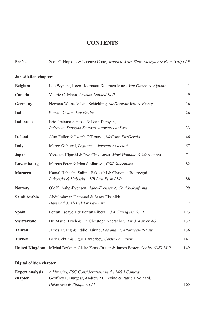#### **CONTENTS**

| Preface                      | Scott C. Hopkins & Lorenzo Corte, Skadden, Arps, Slate, Meagher & Flom (UK) LLP             |              |
|------------------------------|---------------------------------------------------------------------------------------------|--------------|
| <b>Jurisdiction chapters</b> |                                                                                             |              |
| <b>Belgium</b>               | Luc Wynant, Koen Hoornaert & Jeroen Mues, Van Olmen & Wynant                                | $\mathbf{1}$ |
| Canada                       | Valerie C. Mann, Lawson Lundell LLP                                                         | 9            |
| Germany                      | Norman Wasse & Lisa Schickling, McDermott Will & Emery                                      | 16           |
| India                        | Sumes Dewan, Lex Favios                                                                     | 26           |
| <b>Indonesia</b>             | Eric Pratama Santoso & Barli Darsyah,<br>Indrawan Darsyah Santoso, Attorneys at Law         | 33           |
| <b>Ireland</b>               | Alan Fuller & Joseph O'Rourke, McCann FitzGerald                                            | 46           |
| <b>Italy</b>                 | Marco Gubitosi, Legance – Avvocati Associati                                                | 57           |
| Japan                        | Yohsuke Higashi & Ryo Chikasawa, Mori Hamada & Matsumoto                                    | 71           |
| Luxembourg                   | Marcus Peter & Irina Stoliarova, GSK Stockmann                                              | 82           |
| <b>Morocco</b>               | Kamal Habachi, Salima Bakouchi & Chaymae Bourezgui,<br>Bakouchi & Habachi - HB Law Firm LLP | 88           |
| <b>Norway</b>                | Ole K. Aabø-Evensen, Aabø-Evensen & Co Advokatfirma                                         | 99           |
| Saudi Arabia                 | Abdulrahman Hammad & Samy Elsheikh,<br>Hammad & Al-Mehdar Law Firm                          | 117          |
| Spain                        | Ferran Escayola & Ferran Ribera, J&A Garrigues, S.L.P.                                      | 123          |
| <b>Switzerland</b>           | Dr. Mariel Hoch & Dr. Christoph Neeracher, Bär & Karrer AG                                  | 132          |
| <b>Taiwan</b>                | James Huang & Eddie Hsiung, Lee and Li, Attorneys-at-Law                                    | 136          |
| <b>Turkey</b>                | Berk Çektir & Uğur Karacabey, Cektir Law Firm                                               | 141          |
|                              | United Kingdom Michal Berkner, Claire Keast-Butler & James Foster, Cooley (UK) LLP          | 149          |

#### **Digital edition chapter**

| <b>Expert analysis</b> | Addressing ESG Considerations in the M&A Context          |     |
|------------------------|-----------------------------------------------------------|-----|
| chapter                | Geoffrey P. Burgess, Andrew M. Levine & Patricia Volhard, |     |
|                        | Debevoise & Plimpton LLP                                  | 165 |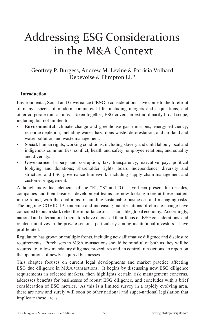## Addressing ESG Considerations in the M&A Context

#### Geoffrey P. Burgess, Andrew M. Levine & Patricia Volhard Debevoise & Plimpton LLP

#### **Introduction**

Environmental, Social and Governance ("**ESG**") considerations have come to the forefront of many aspects of modern commercial life, including mergers and acquisitions, and other corporate transactions. Taken together, ESG covers an extraordinarily broad scope, including but not limited to:

- **Environmental**: climate change and greenhouse gas emissions; energy efficiency; resource depletion, including water; hazardous waste; deforestation; and air, land and water pollution and waste management.
- **Social**: human rights; working conditions, including slavery and child labour; local and indigenous communities; conflict; health and safety; employee relations; and equality and diversity.
- Governance: bribery and corruption; tax; transparency; executive pay; political lobbying and donations; shareholder rights; board independence, diversity and structure; and ESG governance framework, including supply chain management and customer engagement.

Although individual elements of the "E", "S" and "G" have been present for decades, companies and their business development teams are now looking more at these matters in the round, with the dual aims of building sustainable businesses and managing risks. The ongoing COVID-19 pandemic and increasing manifestations of climate change have coincided to put in stark relief the importance of a sustainable global economy. Accordingly, national and international regulators have increased their focus on ESG considerations, and related initiatives in the private sector – particularly among institutional investors – have proliferated.

Regulation has grown on multiple fronts, including new affirmative diligence and disclosure requirements. Purchasers in M&A transactions should be mindful of both as they will be required to follow mandatory diligence procedures and, in control transactions, to report on the operations of newly acquired businesses.

This chapter focuses on current legal developments and market practice affecting ESG due diligence in M&A transactions. It begins by discussing new ESG diligence requirements in selected markets, then highlights certain risk management concerns, addresses benefits for businesses of robust ESG diligence, and concludes with a brief consideration of ESG metrics. As this is a limited survey in a rapidly evolving area, there are now and surely will soon be other national and super-national legislation that implicate these areas.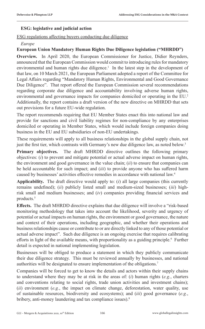#### **ESG: legislative and judicial action**

ESG regulations affecting buyers conducting due diligence

#### *Europe*

#### **European Union Mandatory Human Rights Due Diligence legislation ("MHRDD")**

**Overview.** In April 2020, the European Commissioner for Justice, Didier Reynders, announced that the European Commission would commit to introducing rules for mandatory environmental and human rights due diligence.<sup>1</sup> In the latest step in the development of that law, on 10 March 2021, the European Parliament adopted a report of the Committee for Legal Affairs regarding "Mandatory Human Rights, Environmental and Good Governance Due Diligence". That report offered the European Commission several recommendations regarding corporate due diligence and accountability involving adverse human rights, environmental and governance impacts for companies domiciled or operating in the EU.<sup>2</sup> Additionally, the report contains a draft version of the new directive on MHRDD that sets out provisions for a future EU-wide regulation.

The report recommends requiring that EU Member States enact this into national law and provide for sanctions and civil liability regimes for non-compliance by any enterprises domiciled or operating in Member States, which would include foreign companies doing business in the EU and EU subsidiaries of non-EU undertakings.

These requirements will apply to all business relationships in the global supply chain, not just the first tier, which contrasts with Germany's new due diligence law, as noted below.<sup>3</sup>

**Primary objectives.** The draft MHRDD directive outlines the following primary objectives: (*i*) to prevent and mitigate potential or actual adverse impact on human rights, the environment and good governance in the value chain; (*ii*) to ensure that companies can be held accountable for such impact; and (*iii*) to provide anyone who has suffered harm caused by businesses' activities effective remedies in accordance with national law.4

**Applicability.** The draft directive would apply to: (*i*) all large companies (this currently remains undefined); (*ii*) publicly listed small and medium-sized businesses; (*iii*) highrisk small and medium businesses; and (*iv*) companies providing financial services and products.<sup>5</sup>

**Effects.** The draft MHRDD directive explains that due diligence will involve a "risk-based monitoring methodology that takes into account the likelihood, severity and urgency of potential or actual impacts on human rights, the environment or good governance, the nature and context of their operations, including geographic, and whether their operations and business relationships cause or contribute to or are directly linked to any of those potential or actual adverse impact". Such due diligence is an ongoing exercise that requires calibrating efforts in light of the available means, with proportionality as a guiding principle.<sup>6</sup> Further detail is expected in national implementing legislation.

Businesses will be obliged to produce a statement in which they publicly communicate their due diligence strategy. This must be reviewed annually by businesses, and national authorities will be designated to ensure implementation of the obligations.7

Companies will be forced to get to know the details and actors within their supply chains to understand where they may be at risk in the areas of: (*i*) human rights (*e.g.*, charters and conventions relating to social rights, trade union activities and investment chains); (*ii*) environment (*e.g.*, the impact on climate change, deforestation, water quality, use of sustainable resources, biodiversity and ecosystems); and (*iii*) good governance (*e.g.*, bribery, anti-money laundering and tax compliance issues).8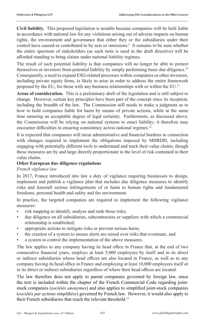**Civil liability.** This proposed legislation is notable because companies will be held liable in accordance with national law for any violations arising out of adverse impacts on human rights, the environment and governance that either they or the subsidiaries under their control have caused or contributed to by acts or omissions.<sup>9</sup> It remains to be seen whether the entire spectrum of stakeholders (as such term is used in the draft directive) will be afforded standing to bring claims under national liability regimes.

The result of such potential liability is that companies will no longer be able to protect themselves or investors from potential liability by simply performing basic due diligence.<sup>10</sup> Consequently, a need to expand ESG-related processes within companies or other investors, including private equity firms, is likely to arise in order to address the entire framework proposed by the EU, for those with any business relationships with or within the EU.<sup>11</sup>

**Areas of consideration.** This is a preliminary draft of the legislation and is still subject to change. However, certain key principles have been part of the concept since its inception, including the breadth of the law. The Commission still needs to make a judgment as to how to hold companies liable for harm by means of private actions, while at the same time ensuring an acceptable degree of legal certainty. Furthermore, as discussed above, the Commission will be relying on national systems to enact liability; it therefore may encounter difficulties in ensuring consistency across national regimes.<sup>12</sup>

It is expected that companies will incur administrative and financial burdens in connection with changes required to implement the obligations imposed by MHRDD, including engaging with potentially different tools to understand and track their value chains, though these measures are by and large directly proportionate to the level of risk contained in their value chains.

#### **Other European due diligence regulations**

*French vigilance law*

In 2017, France introduced into law a duty of vigilance requiring businesses to design, implement and publish a vigilance plan that includes due diligence measures to identify risks and forestall serious infringements of or harm to human rights and fundamental freedoms, personal health and safety and the environment.

In practice, the targeted companies are required to implement the following vigilance measures:

- risk mapping to identify, analyse and rank those risks;
- due diligence on all subsidiaries, subcontractors or suppliers with which a commercial relationship is established;
- appropriate actions to mitigate risks or prevent serious harm;
- the creation of a system to ensure alerts are raised over risks that eventuate; and
- a system to control the implementation of the above measures.

The law applies to any company having its head office in France that, at the end of two consecutive financial years, employs at least 5,000 employees by itself and in its direct or indirect subsidiaries whose head offices are also located in France, as well as to any company having its head office in France and employing at least 10,000 employees itself or in its direct or indirect subsidiaries regardless of where their head offices are located.

The law therefore does not apply to parent companies governed by foreign law, since the text is included within the chapter of the French Commercial Code regarding jointstock companies (*sociétés anonymes*) and also applies to simplified joint-stock companies (*sociétés par actions simplifiées*) governed by French law. However, it would also apply to their French subsidiaries that reach the relevant threshold. 13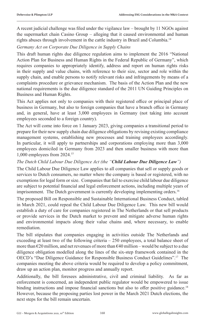A recent judicial challenge was filed under the vigilance law – brought by 11 NGOs against the supermarket chain Casino Group – alleging that it caused environmental and human rights abuses through involvement in the cattle industry in Brazil and Columbia.<sup>14</sup>

#### *Germany Act on Corporate Due Diligence in Supply Chains*

This draft human rights due diligence regulation aims to implement the 2016 "National Action Plan for Business and Human Rights in the Federal Republic of Germany", which requires companies to appropriately identify, address and report on human rights risks in their supply and value chains, with reference to their size, sector and role within the supply chain, and enable persons to notify relevant risks and infringements by means of a complaints procedure or grievance mechanism. The basis of the Action Plan and the new national requirements is the due diligence standard of the 2011 UN Guiding Principles on Business and Human Rights.

This Act applies not only to companies with their registered office or principal place of business in Germany, but also to foreign companies that have a branch office in Germany and, in general, have at least 3,000 employees in Germany (not taking into account employees seconded to a foreign country).

The Act will come into force on 1 January 2023, giving companies a transitional period to prepare for their new supply chain due diligence obligations by revising existing compliance management systems, establishing new processes and training employees accordingly. In particular, it will apply to partnerships and corporations employing more than 3,000 employees domiciled in Germany from 2023 and then smaller business with more than 1,000 employees from 2024.15

#### *The Dutch Child Labour Due Diligence Act (the "Child Labour Due Diligence Law")*

The Child Labour Due Diligence Law applies to all companies that sell or supply goods or services to Dutch consumers, no matter where the company is based or registered, with no exemptions for legal form or size. Companies that fail to exercise child labour due diligence are subject to potential financial and legal enforcement actions, including multiple years of imprisonment. The Dutch government is currently developing implementing orders.<sup>16</sup>

The proposed Bill on Responsible and Sustainable International Business Conduct, tabled in March 2021, could repeal the Child Labour Due Diligence Law. This new bill would establish a duty of care for companies registered in The Netherlands or that sell products or provide services in the Dutch market to prevent and mitigate adverse human rights and environmental impacts along their value chains and, where necessary, to enable remediation.

The bill stipulates that companies engaging in activities outside The Netherlands and exceeding at least two of the following criteria – 250 employees, a total balance sheet of more than  $\epsilon$ 20 million, and net revenues of more than  $\epsilon$ 40 million – would be subject to a due diligence obligation modelled along the lines of the six-step framework contained in the OECD's "Due Diligence Guidance for Responsible Business Conduct Guidelines".17 The companies meeting the above criteria would be required to develop a policy commitment, draw up an action plan, monitor progress and annually report.

Additionally, the bill foresees administrative, civil and criminal liability. As far as enforcement is concerned, an independent public regulator would be empowered to issue binding instructions and impose financial sanctions but also to offer positive guidance.<sup>18</sup> However, because the proposing parties lost power in the March 2021 Dutch elections, the next steps for the bill remain uncertain.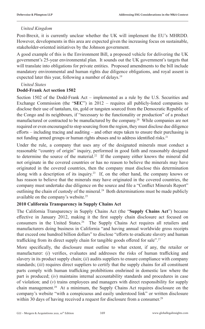#### *United Kingdom*

Post-Brexit, it is currently unclear whether the UK will implement the EU's MHRDD. However, developments in this area are expected given the increasing focus on sustainable, stakeholder-oriented initiatives by the Johnson government.

A good example of this is the Environment Bill, a proposed vehicle for delivering the UK government's 25-year environmental plan. It sounds out the UK government's targets that will translate into obligations for private entities. Proposed amendments to the bill include mandatory environmental and human rights due diligence obligations, and royal assent is expected later this year, following a number of delays.<sup>19</sup>

#### *United States*

#### **Dodd-Frank Act section 1502**

Section 1502 of the Dodd-Frank Act – implemented as a rule by the U.S. Securities and Exchange Commission (the "**SEC**") in 2012 – requires all publicly-listed companies to disclose their use of tantalum, tin, gold or tungsten sourced from the Democratic Republic of the Congo and its neighbours, if "necessary to the functionality or production" of a product manufactured or contracted to be manufactured by the company.20 While companies are not required or even encouraged to stop sourcing from the region, they must disclose due diligence efforts – including tracing and auditing – and other steps taken to ensure their purchasing is not funding armed groups or human rights abuses and to address identified risks.<sup>21</sup>

Under the rule, a company that uses any of the designated minerals must conduct a reasonable "country of origin" inquiry, performed in good faith and reasonably designed to determine the source of the material.<sup>22</sup> If the company either knows the mineral did not originate in the covered countries or has no reason to believe the minerals may have originated in the covered countries, then the company must disclose this determination along with a description of its inquiry.23 If, on the other hand, the company knows or has reason to believe that the minerals may have originated in the covered countries, the company must undertake due diligence on the source and file a "Conflict Minerals Report" outlining the chain of custody of the mineral.<sup>24</sup> Both determinations must be made publicly available on the company's website.25

#### **2010 California Transparency in Supply Chains Act**

The California Transparency in Supply Chains Act (the "**Supply Chains Act**") became effective in January 2012, making it the first supply chain disclosure act focused on consumers in the United States.26 The Supply Chains Act requires all retailers and manufacturers doing business in California "and having annual worldwide gross receipts that exceed one hundred billion dollars" to disclose "efforts to eradicate slavery and human trafficking from its direct supply chain for tangible goods offered for sale".<sup>27</sup>

More specifically, the disclosure must outline to what extent, if any, the retailer or manufacturer: (*i*) verifies, evaluates and addresses the risks of human trafficking and slavery in its product supply chain; (*ii*) audits suppliers to ensure compliance with company standards; (*iii*) requires direct suppliers to certify that the supply chains for all constituent parts comply with human trafficking prohibitions enshrined in domestic law where the part is produced; (*iv*) maintains internal accountability standards and procedures in case of violation; and (*v*) trains employees and managers with direct responsibility for supply chain management.28 At a minimum, the Supply Chains Act requires disclosure on the company's website "with a conspicuous and easily understood link" or written disclosure within 30 days of having received a request for disclosure from a consumer.<sup>29</sup>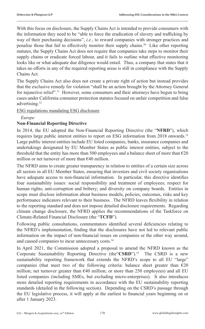With this focus on disclosure, the Supply Chains Act is intended to provide consumers with the information they need to be "able to force the eradication of slavery and trafficking by way of their purchasing decisions", *i.e.*, to reward companies with stronger practices and penalise those that fail to effectively monitor their supply chains.30 Like other reporting statutes, the Supply Chains Act does not require that companies take steps to monitor their supply chains or eradicate forced labour, and it fails to outline what effective monitoring looks like or what adequate due diligence would entail. Thus, a company that states that it takes no efforts in any of the required reporting areas is still in compliance with the Supply Chains Act.

The Supply Chains Act also does not create a private right of action but instead provides that the exclusive remedy for violation "shall be an action brought by the Attorney General for injunctive relief".<sup>31</sup> However, some consumers and their attorneys have begun to bring cases under California consumer protection statutes focused on unfair competition and false advertising.32

ESG regulations mandating ESG disclosure

*Europe*

#### **Non-Financial Reporting Directive**

In 2014, the EU adopted the Non-Financial Reporting Directive (the "**NFRD**"), which requires large public interest entities to report on ESG information from 2018 onwards.<sup>33</sup> Large public interest entities include EU listed companies, banks, insurance companies and undertakings designated by EU Member States as public interest entities, subject to the threshold that the entity has more than 500 employees and a balance sheet of more than  $\epsilon$ 20 million or net turnover of more than €40 million.

The NFRD aims to create greater transparency in relation to entities of a certain size across all sectors in all EU Member States, ensuring that investors and civil society organisations have adequate access to non-financial information. In particular, this directive identifies four sustainability issues: social responsibility and treatment of employees; respect for human rights; anti-corruption and bribery; and diversity on company boards. Entities in scope must disclose information about business models, policies, outcomes, risks and key performance indicators relevant to their business. The NFRD leaves flexibility in relation to the reporting standard and does not impose detailed disclosure requirements. Regarding climate change disclosure, the NFRD applies the recommendations of the Taskforce on Climate-Related Financial Disclosure (the "**TCFD**").

Following public consultations, commentators identified several deficiencies relating to the NFRD's implementation, finding that the disclosures have not led to relevant public information on the impact of non-financial issues on companies or the other way around, and caused companies to incur unnecessary costs.<sup>34</sup>

In April 2021, the Commission adopted a proposal to amend the NFRD known as the Corporate Sustainability Reporting Directive (the"**CSRD**").<sup>35</sup> The CSRD is a new sustainability reporting framework that extends the NFRD's scope to all EU "large" companies (that meet two of the following criteria: balance sheet greater than  $E20$ million; net turnover greater than  $\epsilon$ 40 million; or more than 250 employees) and all EU listed companies (including SMEs, but excluding micro-enterprises). It also introduces more detailed reporting requirements in accordance with the EU sustainability reporting standards (detailed in the following section). Depending on the CSRD's passage through the EU legislative process, it will apply at the earliest to financial years beginning on or after 1 January 2023.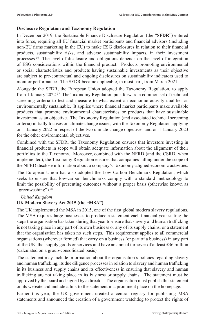#### **Disclosure Regulation and Taxonomy Regulation**

In December 2019, the Sustainable Finance Disclosure Regulation (the "**SFDR**") entered into force, requiring all EU financial market participants and financial advisors (including non-EU firms marketing in the EU) to make ESG disclosures in relation to their financial products, sustainability risks, and adverse sustainability impacts, in their investment processes.<sup>36</sup> The level of disclosure and obligations depends on the level of integration of ESG considerations within the financial product. Products promoting environmental or social characteristics and products having sustainable investments as their objective are subject to pre-contractual and ongoing disclosures on sustainability indicators used to monitor performance. The SFDR became applicable, in most part, from March 2021.

Alongside the SFDR, the European Union adopted the Taxonomy Regulation, to apply from 1 January 2022.37 The Taxonomy Regulation puts forward a common set of technical screening criteria to test and measure to what extent an economic activity qualifies as environmentally sustainable. It applies where financial market participants make available products that promote environmental characteristics or products that have sustainable investment as an objective. The Taxonomy Regulation (and associated technical screening criteria) initially focuses on climate change issues, with the Taxonomy Regulation applying on 1 January 2022 in respect of the two climate change objectives and on 1 January 2023 for the other environmental objectives.

Combined with the SFDR, the Taxonomy Regulation ensures that investors investing in financial products in scope will obtain adequate information about the alignment of their portfolios to the Taxonomy. Moreover, combined with the NFRD (and the CSRD, when implemented), the Taxonomy Regulation ensures that companies falling under the scope of the NFRD disclose information about a company's Taxonomy-aligned economic activities.

The European Union has also adopted the Low Carbon Benchmark Regulation, which seeks to ensure that low-carbon benchmarks comply with a standard methodology to limit the possibility of presenting outcomes without a proper basis (otherwise known as "greenwashing").<sup>38</sup>

#### *United Kingdom*

#### **UK Modern Slavery Act 2015 (the "MSA")**

The UK implemented the MSA in 2015, one of the first global modern slavery regulations. The MSA requires large businesses to produce a statement each financial year stating the steps the organisation has taken during that year to ensure that slavery and human trafficking is not taking place in any part of its own business or any of its supply chains, or a statement that the organisation has taken no such steps. This requirement applies to all commercial organisations (wherever formed) that carry on a business (or part of a business) in any part of the UK, that supply goods or services and have an annual turnover of at least £36 million (calculated on a group-consolidated basis).

The statement may include information about the organisation's policies regarding slavery and human trafficking, its due diligence processes in relation to slavery and human trafficking in its business and supply chains and its effectiveness in ensuring that slavery and human trafficking are not taking place in its business or supply chains. The statement must be approved by the board and signed by a director. The organisation must publish this statement on its website and include a link to the statement in a prominent place on the homepage.

Earlier this year, the UK government created a central registry for publishing MSA statements and announced the creation of a government watchdog to protect the rights of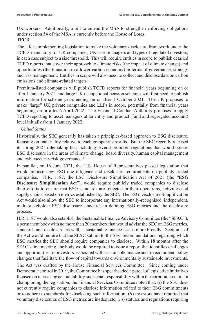UK workers. Additionally, a bill to amend the MSA to strengthen enforcing obligations under section 54 of the MSA is currently before the House of Lords.

#### **TFCD**

The UK is implementing legislation to make the voluntary disclosure framework under the TCFD mandatory for UK companies, UK asset managers and types of regulated investors, in each case subject to a size threshold. This will require entities in scope to publish detailed TCFD reports that cover their approach to climate risks (the impact of climate change) and opportunities (the transition to a lower-carbon economy) in terms of governance, strategy and risk management. Entities in scope will also need to collect and disclose data on carbon emissions and climate-related targets.

Premium-listed companies will publish TCFD reports for financial years beginning on or after 1 January 2021, and large UK occupational pension schemes will first need to publish information for scheme years ending on or after 1 October 2021. The UK proposes to make "large" UK private companies and LLPs in scope, potentially from financial years beginning on or after 6 April 2022. The Financial Conduct Authority proposes to apply TCFD reporting to asset managers at an entity and product (fund and segregated account) level initially from 1 January 2022.

#### *United States*

Historically, the SEC generally has taken a principles-based approach to ESG disclosure, focusing on materiality relative to each company's results. But the SEC recently released its spring 2021 rulemaking list, including several proposed regulations that would bolster ESG disclosure in the areas of climate change, board diversity, human capital management and cybersecurity risk governance.<sup>39</sup>

In parallel, on 16 June 2021, the U.S. House of Representatives passed legislation that would impose new ESG due diligence and disclosure requirements on publicly traded companies. H.R. 1187, the ESG Disclosure Simplification Act of 2021 (the "**ESG Disclosure Simplification Act**"), would require publicly traded companies to disclose their efforts to ensure that ESG standards are reflected in their operations, activities and supply chains based on metrics established by the SEC. The ESG Disclosure Simplification Act would also allow the SEC to incorporate any internationally-recognised, independent, multi-stakeholder ESG disclosure standards in defining ESG metrics and the disclosure process.

H.R. 1187 would also establish the Sustainable Finance Advisory Committee (the "**SFAC**"), a permanent body with no more than 20 members that would advise the SEC on ESG metrics, standards and disclosure, as well as sustainable finance issues more broadly. Section 4 of the Act would require that the SFAC submit to the SEC recommendations regarding which ESG metrics the SEC should require companies to disclose. Within 18 months after the SFAC's first meeting, the body would be required to issue a report that identifies challenges and opportunities for investors associated with sustainable finance and to recommend policy changes that facilitate the flow of capital towards environmentally sustainable investments.

The Act was drafted by the House Financial Services Committee. Since coming under Democratic control in 2019, the Committee has spearheaded a parcel of legislative initiatives focused on increasing accountability and social responsibility within the corporate sector. In championing the legislation, the Financial Services Committee noted that: (*i*) the SEC does not currently require companies to disclose information related to their ESG commitments or to adhere to standards for disclosing such information; (*ii*) investors have reported that voluntary disclosures of ESG metrics are inadequate; (*iii*) statutes and regulations requiring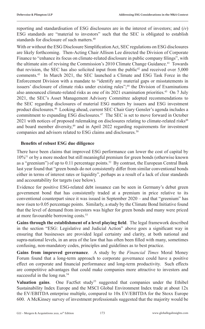reporting and standardisation of ESG disclosures are in the interest of investors; and (*iv*) ESG standards are "material to investors" such that the SEC is obligated to establish standards for disclosure of such matters.<sup>40</sup>

With or without the ESG Disclosure Simplification Act, SEC regulations on ESG disclosures are likely forthcoming. Then-Acting Chair Allison Lee directed the Division of Corporate Finance to "enhance its focus on climate-related disclosure in public company filings", with the ultimate aim of revising the Commission's 2010 Climate Change Guidance.<sup>41</sup> Towards that revision, the SEC has also solicited input from the public<sup>42</sup> and received over  $5,000$ comments.43 In March 2021, the SEC launched a Climate and ESG Task Force in the Enforcement Division with a mandate to "identify any material gaps or misstatements in issuers' disclosure of climate risks under existing rules";<sup>44</sup> the Division of Examinations also announced climate-related risks as one of its 2021 examination priorities.<sup>45</sup> On 7 July 2021, the SEC's Asset Management Advisory Committee adopted recommendations to the SEC regarding disclosures of material ESG matters by issuers and ESG investment product disclosures.46 Looking ahead, current SEC Chair Gary Gensler's agenda includes a commitment to expanding ESG disclosures.<sup>47</sup> The SEC is set to move forward in October  $2021$  with notices of proposed rulemaking on disclosures relating to climate-related risks<sup>48</sup> and board member diversity,<sup>49</sup> and in April 2022 regarding requirements for investment companies and advisors related to ESG claims and disclosures.<sup>50</sup>

#### **Benefits of robust ESG due diligence**

There have been claims that improved ESG performance can lower the cost of capital by 10%51 or by a more modest but still meaningful premium for green bonds (otherwise known as a "greenium") of up to 0.11 percentage points.<sup>52</sup> By contrast, the European Central Bank last year found that "green bonds do not consistently differ from similar conventional bonds either in terms of interest rates or liquidity", perhaps as a result of a lack of clear standards and accountability for targets (see below).

Evidence for positive ESG-related debt issuance can be seen in Germany's debut green government bond that has consistently traded at a premium in price relative to its conventional counterpart since it was issued in September 2020 – and that "greenium" has now risen to 0.05 percentage points. Similarly, a study by the Climate Bond Initiative found that the level of demand from investors was higher for green bonds and many were priced at more favourable borrowing costs.<sup>53</sup>

**Gains through the establishment of a level playing field**. The legal framework described in the section "ESG: Legislative and Judicial Action" above goes a significant way in ensuring that businesses are provided legal certainty and clarity, at both national and supra-national levels, in an area of the law that has often been filled with many, sometimes confusing, non-mandatory codes, principles and guidelines as to best practice.

**Gains from improved governance**. A study by the *Financial Times* Moral Money Forum found that a long-term approach to corporate governance could have a positive effect on corporate and financial performance and long-term productivity. Such effects are competitive advantages that could make companies more attractive to investors and successful in the long run.<sup>54</sup>

**Valuation gains.** One FactSet study<sup>55</sup> suggested that companies under the Ethibel Sustainability Index Europe and the MSCI Global Environment Index trade at about 12x the EV/EBITDA enterprise multiple, compared to 10x EV/EBITDA for the Stoxx Europe 600. A McKinsey survey of investment professionals suggested that the majority would be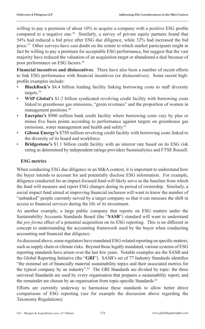willing to pay a premium of about 10% to acquire a company with a positive ESG profile compared to a negative one.<sup>56</sup> Similarly, a survey of private equity partners found that 54% had reduced a bid price after ESG due diligence, while 32% had increased the bid price.<sup>57</sup> Other surveys have cast doubt on the extent to which market participants might in fact be willing to pay a premium for acceptable ESG performance, but suggest that the vast majority have reduced the valuation of an acquisition target or abandoned a deal because of poor performance on ESG factors.<sup>58</sup>

**Financial incentives and disincentives**. There have also been a number of recent efforts to link ESG performance with financial incentives (or disincentives). Some recent highprofile examples include:

- **BlackRock's** \$4.4 billion lending facility linking borrowing costs to staff diversity targets.<sup>59</sup>
- **WSP Global's** \$1.2 billion syndicated revolving credit facility with borrowing costs linked to greenhouse gas emissions, "green revenues" and the proportion of women in management positions.<sup>60</sup>
- **Enerplus's** \$900 million bank credit facility where borrowing costs vary by plus or minus five basis points according to performance against targets on greenhouse gas emissions, water management and health and safety.<sup>61</sup>
- **Gibson Energy's** \$750 million revolving credit facility with borrowing costs linked to the diversity of its board and workforce.
- **Bridgestone's** \$1.1 billion credit facility with an interest rate based on its ESG risk rating as determined by independent ratings providers Sustainalytics and FTSE Russell.

#### **ESG metrics**

When conducting ESG due diligence in an M&A context, it is important to understand how the buyer intends to account for and potentially disclose ESG information. For example, diligence conducted for an impact-focused fund will likely serve as the baseline from which the fund will measure and report ESG changes during its period of ownership. Similarly, a social impact fund aimed at improving financial inclusion will want to know the number of "unbanked" people currently served by a target company so that it can measure the shift in access to financial services during the life of its investment.

As another example, a large public company that reports on ESG matters under the Sustainability Accounts Standards Board (the "**SASB**") standard will want to understand the *pro forma* effect of a potential acquisition on its ESG reporting. This is no different in concept to understanding the accounting framework used by the buyer when conducting accounting and financial due diligence.

As discussed above, some regulators have mandated ESG-related reporting on specific matters, such as supply chain or climate risks. Beyond those legally mandated, various systems of ESG reporting standards have arisen over the last few years. Notable examples are the SASB and the Global Reporting Initiative (the "**GRI**"). SASB's set of 77 Industry Standards identifies "the minimal set of financially material sustainability topics and their associated metrics for the typical company by an industry".<sup>62</sup> The GRI Standards are divided by topic: the three universal Standards are used by every organisation that prepares a sustainability report; and the remainder are chosen by an organisation from topic-specific Standards.<sup>63</sup>

Efforts are currently underway to harmonise these standards to allow better direct comparisons of ESG reporting (see for example the discussion above regarding the Taxonomy Regulations).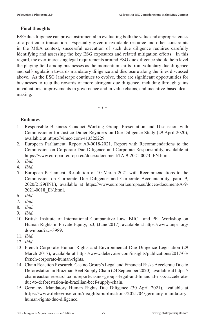#### **Final thoughts**

ESG due diligence can prove instrumental in evaluating both the value and appropriateness of a particular transaction. Especially given unavoidable resource and other constraints in the M&A context, successful execution of such due diligence requires carefully identifying and assessing the key ESG exposures and related mitigation efforts. In this regard, the ever-increasing legal requirements around ESG due diligence should help level the playing field among businesses as the momentum shifts from voluntary due diligence and self-regulation towards mandatory diligence and disclosure along the lines discussed above. As the ESG landscape continues to evolve, there are significant opportunities for businesses to reap the rewards of more stringent due diligence, including through gains in valuations, improvements in governance and in value chains, and incentive-based dealmaking.

\* \* \*

#### **Endnotes**

- 1. Responsible Business Conduct Working Group, Presentation and Discussion with Commissioner for Justice Didier Reynders on Due Diligence Study (29 April 2020), available at https://vimeo.com/413525229.
- 2. European Parliament, Report A9-0018/2021, Report with Recommendations to the Commission on Corporate Due Diligence and Corporate Responsibility, available at https://www.europarl.europa.eu/doceo/document/TA-9-2021-0073\_EN.html.
- 3. *Ibid.*
- 4. *Ibid.*
- 5. European Parliament, Resolution of 10 March 2021 with Recommendations to the Commission on Corporate Due Diligence and Corporate Accountability, para. 9, 2020/2129(INL), available at https://www.europarl.europa.eu/doceo/document/A-9- 2021-0018\_EN.html.
- 6. *Ibid.*
- 7. *Ibid.*
- 8. *Ibid.*
- 9. *Ibid.*
- 10. British Institute of International Comparative Law, BIICL and PRI Workshop on Human Rights in Private Equity, p.3, (June 2017), available at https://www.unpri.org/ download?ac=3989.
- 11. *Ibid.*
- 12. *Ibid.*
- 13. French Corporate Human Rights and Environmental Due Diligence Legislation (29 March 2017), available at https://www.debevoise.com/insights/publications/2017/03/ french-corporate-human-rights.
- 14. Chain Reaction Research, Casino Group's Legal and Financial Risks Accelerate Due to Deforestation in Brazilian Beef Supply Chain (24 September 2020), available at https:// chainreactionresearch.com/report/casino-groups-legal-and-financial-risks-acceleratedue-to-deforestation-in-brazilian-beef-supply-chain.
- 15. Germany: Mandatory Human Rights Due Diligence (30 April 2021), available at https://www.debevoise.com/insights/publications/2021/04/germany-mandatoryhuman-rights-due-diligence.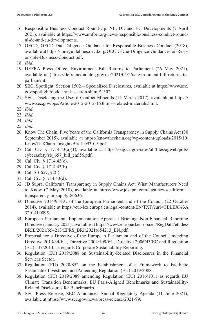- 16. Responsible Business Conduct Round-Up: NL, DE and EU Developments (7 April 2021), available at https://www.amfori.org/news/responsible-business-conduct-roundnl-de-and-eu-developments.
- 17. OECD, OECD Due Diligence Guidance for Responsible Business Conduct (2018), available at https://mneguidelines.oecd.org/OECD-Due-Diligence-Guidance-for-Responsible-Business-Conduct.pdf.
- 18. *Ibid.*
- 19. DEFRA Press Office, Environment Bill Returns to Parliament (26 May 2021), available at (https://deframedia.blog.gov.uk/2021/05/26/environment-bill-returns-toparliament.
- 20. SEC, Spotlight: Section 1502 Specialised Disclosures, available at https://www.sec. gov/spotlight/dodd-frank-section.shtml#1502.
- 21. SEC, Disclosing the Use of Conflict Minerals (14 March 2017), available at https:// www.sec.gov/opa/Article/2012-2012-163htm---related-materials.html.
- 22. *Ibid.*
- 23. *Ibid.*
- 24. *Ibid.*
- 25. *Ibid.*
- 26. Know The Chain, Five Years of the California Transparency in Supply Chains Act (30 September 2015), available at https://knowthechain.org/wp-content/uploads/2015/10/ KnowTheChain\_InsightsBrief\_093015.pdf.
- 27. Cal. Civ. § 1714.43(a)(1), available at https://oag.ca.gov/sites/all/files/agweb/pdfs/ cybersafety/sb\_657\_bill\_ch556.pdf.
- 28. Cal. Civ. § 1714.43(c).
- 29. Cal. Civ. § 1714.43(b).
- 30. Cal. SB 657, §2(i).
- 31. Cal. Civ. §1714.43(d).
- 32. JD Supra, California Transparency in Supply Chains Act: What Manufacturers Need to Know (7 May 2018), available at https://www.jdsupra.com/legalnews/californiatransparency-in-supply-86636.
- 33. Directive 2014/95/EU of the European Parliament and of the Council (22 October 2014), available at https://eur-lex.europa.eu/legal-content/EN/TXT/?uri=CELEX%3A 32014L0095.
- 34. European Parliament, Implementation Appraisal Briefing: Non-Financial Reporting Directive (January 2021), available at https://www.europarl.europa.eu/RegData/etudes/ BRIE/2021/654213/EPRS\_BRI(2021)654213\_EN.pdf.
- 35. Proposal for a Directive of the European Parliament and of the Council amending Directive 2013/34/EU, Directive 2004/109/EC, Directive 2006/43/EC and Regulation (EU) 537/2014, as regards Corporate Sustainability Reporting.
- 36. Regulation (EU) 2019/2088 on Sustainability‐Related Disclosures in the Financial Services Sector.
- 37. Regulation (EU) 2020/852 on the Establishment of a Framework to Facilitate Sustainable Investment and Amending Regulation (EU) 2019/2088.
- 38. Regulation (EU) 2019/2089 amending Regulation (EU) 2016/1011 as regards EU Climate Transition Benchmarks, EU Paris-Aligned Benchmarks and Sustainability-Related Disclosures for Benchmarks.
- 39. SEC Press Release, SEC Announces Annual Regulatory Agenda (11 June 2021), available at https://www.sec.gov/news/press-release/2021-99.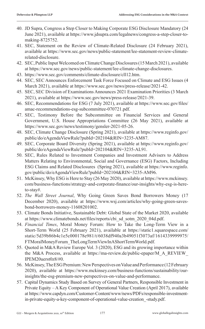- 40. JD Supra, Congress a Step Closer to Making Corporate ESG Disclosure Mandatory (24 June 2021), available at https://www.jdsupra.com/legalnews/congress-a-step-closer-tomaking-8725752.
- 41. SEC, Statement on the Review of Climate-Related Disclosure (24 February 2021), available at https://www.sec.gov/news/public-statement/lee-statement-review-climaterelated-disclosure.
- 42. SEC, Public Input Welcomed on Climate Change Disclosures (15 March 2021), available at https://www.sec.gov/news/public-statement/lee-climate-change-disclosures.
- 43. https://www.sec.gov/comments/climate-disclosure/cll12.htm.
- 44. SEC, SEC Announces Enforcement Task Force Focused on Climate and ESG Issues (4 March 2021), available at https://www.sec.gov/news/press-release/2021-42.
- 45. SEC, SEC Division of Examinations Announces 2021 Examination Priorities (3 March 2021), available at https://www.sec.gov/news/press-release/2021-39.
- 46. SEC, Recommendations for ESG (7 July 2021), available at https://www.sec.gov/files/ amac-recommendations-esg-subcommittee-070721.pdf.
- 47. SEC, Testimony Before the Subcommittee on Financial Services and General Government, U.S. House Appropriations Committee (26 May 2021), available at https://www.sec.gov/news/testimony/gensler-2021-05-26.
- 48. SEC, Climate Change Disclosure (Spring 2021), available at https://www.reginfo.gov/ public/do/eAgendaViewRule?pubId=202104&RIN=3235-AM87.
- 49. SEC, Corporate Board Diversity (Spring 2021), available at https://www.reginfo.gov/ public/do/eAgendaViewRule?pubId=202104&RIN=3235-AL91.
- 50. SEC, Rules Related to Investment Companies and Investment Advisers to Address Matters Relating to Environmental, Social and Governance (ESG) Factors, Including ESG Claims and Related Disclosures (Spring 2021), available at https://www.reginfo. gov/public/do/eAgendaViewRule?pubId=202104&RIN=3235-AM96.
- 51. McKinsey, Why ESG is Here to Stay (26 May 2020), available at https://www.mckinsey. com/business-functions/strategy-and-corporate-finance/our-insights/why-esg-is-hereto-stay#.
- 52. *The Wall Street Journal*, Why Going Green Saves Bond Borrowers Money (17 December 2020), available at https://www.wsj.com/articles/why-going-green-savesbond-borrowers-money-11608201002.
- 53. Climate Bonds Initiative, Sustainable Debt: Global State of the Market 2020, available at https://www.climatebonds.net/files/reports/cbi\_sd\_sotm\_2020\_04d.pdf.
- 54. *Financial Times*, Moral Money Forum: How to Take the Long-Term View in a Short-Term World (25 February 2021), available at https://static1.squarespace.com/ static/5d39b86b4c1e5c000178e981/t/6038df940a3b49051f3073af/1614339999975/ FTMoralMoneyForum\_TheLongTermViewInAShortTermWorld.pdf.
- 55. Quoted in M&A Review Europe Vol. 3 (2020), ESG and its growing importance within the M&A Process, available at https://ma-review.de/public-epaper/M\_A\_REVIEW\_ IPEM20uerst0z8/#0.
- 56. McKinsey, The ESG Premium: New Perspectives on Value and Performance (12 February 2020), available at https://www.mckinsey.com/business-functions/sustainability/ourinsights/the-esg-premium-new-perspectives-on-value-and-performance.
- 57. Capital Dynamics Study Based on Survey of General Partners, Responsible Investment in Private Equity – A Key Component of Operational Value Creation (April 2017), available at https://www.capdyn.com/Customer-Content/www/news/PDFs/responsible-investmentin-private-equity-a-key-component-of-operational-value-creation\_-study.pdf.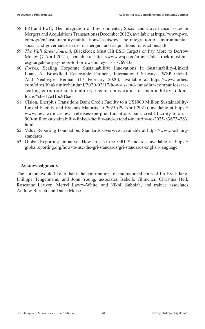- 58. PRI and PwC, The Integration of Environmental, Social and Governance Issues in Mergers and Acquisitions Transactions (December 2012), available at https://www.pwc. com/gx/en/sustainability/publications/assets/pwc-the-integration-of-environmentalsocial-and-governance-issues-in-mergers-and-acquisitions-transactions.pdf.
- 59. *The Wall Street Journal*, BlackRock Must Hit ESG Targets or Pay More to Borrow Money (7 April 2021), available at https://www.wsj.com/articles/blackrock-must-hitesg-targets-or-pay-more-to-borrow-money-11617769833.
- 60. *Forbes*, Scaling Corporate Sustainability: Innovations In Sustainability-Linked Loans At Brookfield Renewable Partners, International Seaways, WSP Global, And Neuberger Berman (17 February 2020), available at https://www.forbes. com/sites/bhaktimirchandani/2020/02/17/how-us-and-canadian-companies-arescaling-corporate-sustainability-recent-innovations-in-sustainability-linkedloans/?sh=12e41bc916a6.
- 61. Cision, Enerplus Transitions Bank Credit Facility to a US\$900 Million Sustainability-Linked Facility and Extends Maturity to 2025 (29 April 2021), available at https:// www.newswire.ca/news-releases/enerplus-transitions-bank-credit-facility-to-a-us-900-million-sustainability-linked-facility-and-extends-maturity-to-2025-836734263. html.
- 62. Value Reporting Foundation, Standards Overview, available at https://www.sasb.org/ standards.
- 63. Global Reporting Initiative, How to Use the GRI Standards, available at https:// globalreporting.org/how-to-use-the-gri-standards/gri-standards-english-language.

#### **Acknowledgments**

The authors would like to thank the contributions of international counsel Jin-Hyuk Jang, Philippe Tengelmann, and John Young, associates Isabelle Glimcher, Christina Heil, Roseanne Lariven, Merryl Lawry-White, and Nikhil Subbiah, and trainee associates Andrew Burnett and Diana Moise.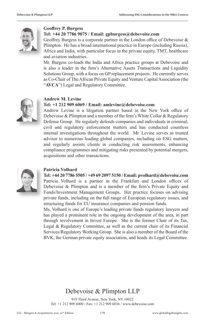

#### **Geoffrey P. Burgess**

#### **Tel: +44 20 7786 9075 / Email: gpburgess@debevoise.com**

Geoffrey Burgess is a corporate partner in the London office of Debevoise & Plimpton. He has a broad international practice in Europe (including Russia), Africa and India, with particular focus in the private equity, TMT, healthcare and aviation industries.

Mr. Burgess co-leads the India and Africa practice groups at Debevoise and is also a leader in the firm's Alternative Assets Transactions and Liquidity Solutions Group, with a focus on GP replacement projects. He currently serves as Co-Chair of The African Private Equity and Venture Capital Association (the "**AVCA**") Legal and Regulatory Committee.



#### **Andrew M. Levine**

#### **Tel: +1 212 909 6069 / Email: amlevine@debevoise.com**

Andrew Levine is a litigation partner based in the New York office of Debevoise & Plimpton and a member of the firm's White Collar & Regulatory Defense Group. He regularly defends companies and individuals in criminal, civil and regulatory enforcement matters and has conducted countless internal investigations throughout the world. Mr. Levine serves as trusted advisor to numerous leading global companies, including on ESG matters, and regularly assists clients in conducting risk assessments, enhancing compliance programmes and mitigating risks presented by potential mergers, acquisitions and other transactions.



#### **Patricia Volhard**

#### **Tel: +44 20 7786 5505 / +49 69 2097 5150 / Email: pvolhard@debevoise.com**

Patricia Volhard is a partner in the Frankfurt and London offices of Debevoise & Plimpton and is a member of the firm's Private Equity and Funds/Investment Management Groups. Her practice focuses on advising private funds, including on the full range of European regulatory issues, and structuring funds for EU insurance companies and pension funds.

Ms. Volhard is one of Europe's leading private funds regulatory lawyers and has played a prominent role in the ongoing development of the area, in part through involvement in Invest Europe. She is the former Chair of its Tax, Legal & Regulatory Committee, as well as the current chair of its Financial Services/Regulatory Working Group. She is also a member of the Board of the BVK, the German private equity association, and heads its Legal Committee.

#### Debevoise & Plimpton LLP

919 Third Avenue, New York, NY 10022 Tel: +1 212 909 6000 / Fax: +1 212 909 6836 / www.debevoise.com